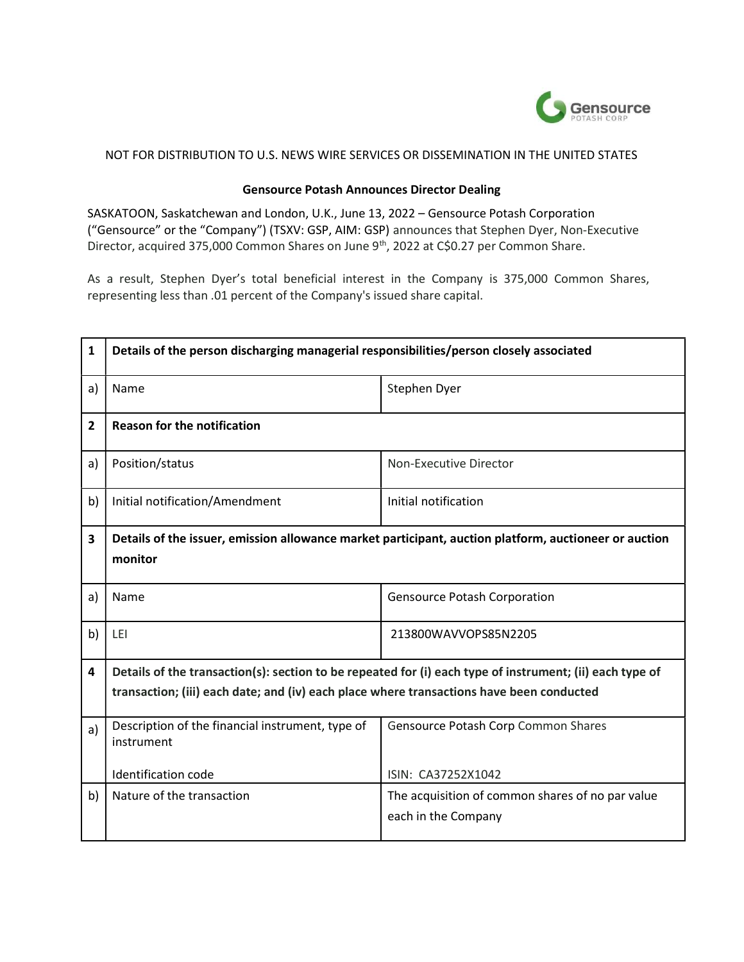

### NOT FOR DISTRIBUTION TO U.S. NEWS WIRE SERVICES OR DISSEMINATION IN THE UNITED STATES

### Gensource Potash Announces Director Dealing

SASKATOON, Saskatchewan and London, U.K., June 13, 2022 – Gensource Potash Corporation ("Gensource" or the "Company") (TSXV: GSP, AIM: GSP) announces that Stephen Dyer, Non-Executive Director, acquired 375,000 Common Shares on June 9<sup>th</sup>, 2022 at C\$0.27 per Common Share.

As a result, Stephen Dyer's total beneficial interest in the Company is 375,000 Common Shares, representing less than .01 percent of the Company's issued share capital.

| $\mathbf{1}$   | Details of the person discharging managerial responsibilities/person closely associated                          |                                                  |  |
|----------------|------------------------------------------------------------------------------------------------------------------|--------------------------------------------------|--|
| a)             | Name                                                                                                             | Stephen Dyer                                     |  |
| $\overline{2}$ | <b>Reason for the notification</b>                                                                               |                                                  |  |
| a)             | Position/status                                                                                                  | Non-Executive Director                           |  |
| b)             | Initial notification/Amendment                                                                                   | Initial notification                             |  |
| 3              | Details of the issuer, emission allowance market participant, auction platform, auctioneer or auction<br>monitor |                                                  |  |
| a)             | Name                                                                                                             | <b>Gensource Potash Corporation</b>              |  |
| b)             | LEI                                                                                                              | 213800WAVVOPS85N2205                             |  |
| 4              | Details of the transaction(s): section to be repeated for (i) each type of instrument; (ii) each type of         |                                                  |  |
|                | transaction; (iii) each date; and (iv) each place where transactions have been conducted                         |                                                  |  |
| a)             | Description of the financial instrument, type of<br>instrument                                                   | Gensource Potash Corp Common Shares              |  |
|                | <b>Identification code</b>                                                                                       | ISIN: CA37252X1042                               |  |
| b)             | Nature of the transaction                                                                                        | The acquisition of common shares of no par value |  |
|                |                                                                                                                  | each in the Company                              |  |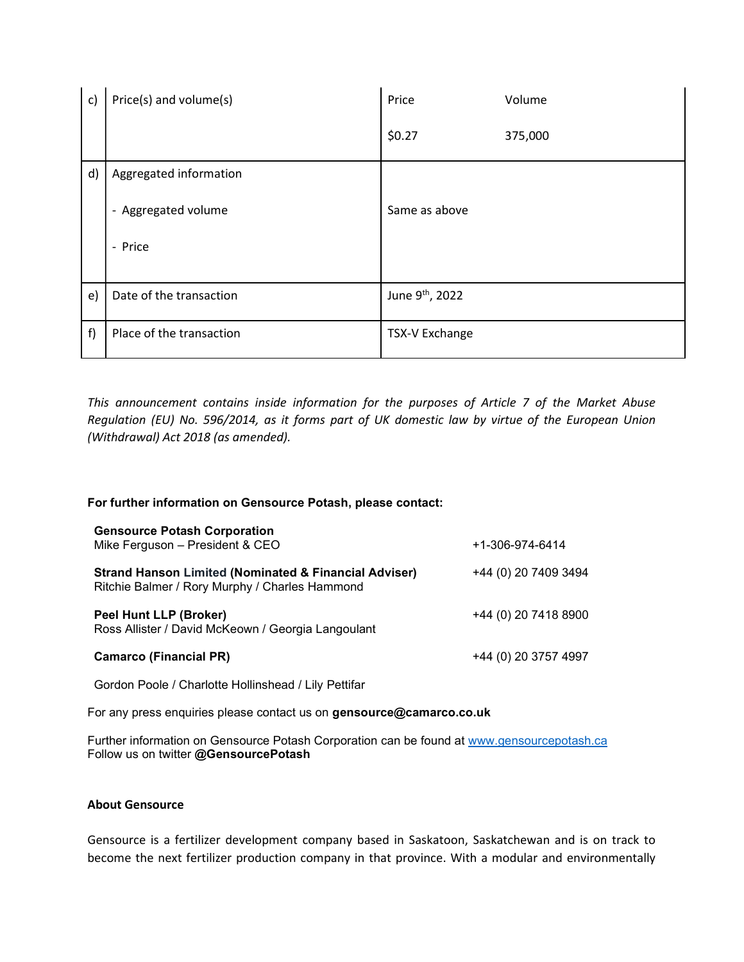| $\mathsf{c}$ | Price(s) and volume(s)   | Price                 | Volume  |
|--------------|--------------------------|-----------------------|---------|
|              |                          | \$0.27                | 375,000 |
| d)           | Aggregated information   |                       |         |
|              | - Aggregated volume      | Same as above         |         |
|              | - Price                  |                       |         |
| $\epsilon$   | Date of the transaction  | June 9th, 2022        |         |
|              |                          |                       |         |
| f)           | Place of the transaction | <b>TSX-V Exchange</b> |         |

This announcement contains inside information for the purposes of Article 7 of the Market Abuse Regulation (EU) No. 596/2014, as it forms part of UK domestic law by virtue of the European Union (Withdrawal) Act 2018 (as amended).

# For further information on Gensource Potash, please contact:

| <b>Gensource Potash Corporation</b><br>Mike Ferguson - President & CEO                                             | +1-306-974-6414      |
|--------------------------------------------------------------------------------------------------------------------|----------------------|
| <b>Strand Hanson Limited (Nominated &amp; Financial Adviser)</b><br>Ritchie Balmer / Rory Murphy / Charles Hammond | +44 (0) 20 7409 3494 |
| <b>Peel Hunt LLP (Broker)</b><br>Ross Allister / David McKeown / Georgia Langoulant                                | +44 (0) 20 7418 8900 |
| <b>Camarco (Financial PR)</b>                                                                                      | +44 (0) 20 3757 4997 |

Gordon Poole / Charlotte Hollinshead / Lily Pettifar

For any press enquiries please contact us on gensource@camarco.co.uk

Further information on Gensource Potash Corporation can be found at www.gensourcepotash.ca Follow us on twitter @GensourcePotash

# About Gensource

Gensource is a fertilizer development company based in Saskatoon, Saskatchewan and is on track to become the next fertilizer production company in that province. With a modular and environmentally